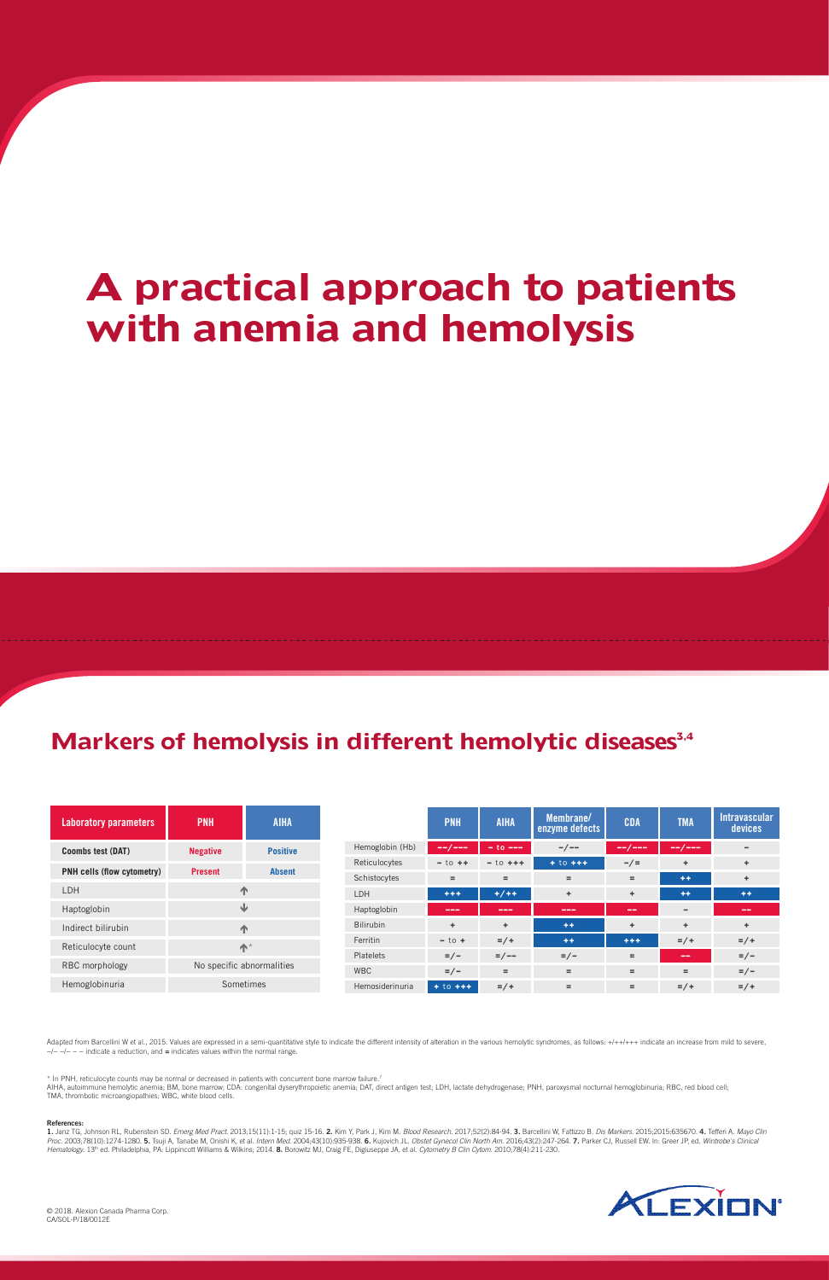© 2018. Alexion Canada Pharma Corp. CA/SOL-P/18/0012E

#### References:

1. Janz TG, Johnson RL, Rubenstein SD. Emerg Med Pract. 2013;15(11):1-15; quiz 15-16. 2. Kim Y, Park J, Kim M. Blood Research. 2017;52(2):84-94. 3. Barcellini W, Fattizzo B. Dis Markers. 2015;2015:635670. 4. Tefferi A. May Proc. 2003;78(10):1274-1280. 5. Tsuji A, Tanabe M, Onishi K, et al. Intern Med. 2004;43(10):935-938. 6. Kujovich JL. Obstet Gynecol Clin North Am. 2016;43(2):247-264. 7. Parker CJ, Russell EW. In: Greer JP, ed. Wintrobe's Hematology. 13<sup>th</sup> ed. Philadelphia, PA: Lippincott Williams & Wilkins; 2014. 8. Borowitz MJ, Craig FE, Digiuseppe JA, et al. Cytometry B Clin Cytom. 2010;78(4):211-230.



AIHA, autoimmune hemolytic anemia; BM, bone marrow; CDA: congenital dyserythropoietic anemia; DAT, direct antigen test; LDH, lactate dehydrogenase; PNH, paroxysmal nocturnal hemoglobinuria; RBC, red blood cell; TMA, thrombotic microangiopathies; WBC, white blood cells.

\* In PNH, reticulocyte counts may be normal or decreased in patients with concurrent bone marrow failure.7

Adapted from Barcellini W et al., 2015. Values are expressed in a semi-quantitative style to indicate the different intensity of alteration in the various hemolytic syndromes, as follows: +/++/+++ indicate an increase from −/− −/− − − indicate a reduction, and = indicates values within the normal range.

| Laboratory parameters             | <b>PNH</b>                | <b>AIHA</b>     |                  | <b>PNH</b>                                                                                                                                                                                                                                                                                                                                                                                                                                                                 | <b>AIHA</b>   | Membrane/<br>enzyme defects                                                                                               | <b>CDA</b> | <b>TMA</b> | Intravascular<br>devices  |
|-----------------------------------|---------------------------|-----------------|------------------|----------------------------------------------------------------------------------------------------------------------------------------------------------------------------------------------------------------------------------------------------------------------------------------------------------------------------------------------------------------------------------------------------------------------------------------------------------------------------|---------------|---------------------------------------------------------------------------------------------------------------------------|------------|------------|---------------------------|
| <b>Coombs test (DAT)</b>          | <b>Negative</b>           | <b>Positive</b> | Hemoglobin (Hb)  | --/---                                                                                                                                                                                                                                                                                                                                                                                                                                                                     | $-$ to $---$  | $-/--$                                                                                                                    | --/---     | --/---     | -                         |
| <b>PNH cells (flow cytometry)</b> | <b>Present</b>            | <b>Absent</b>   | Reticulocytes    | $-$ to $++$                                                                                                                                                                                                                                                                                                                                                                                                                                                                | $-$ to $++$   | $+ to + +$                                                                                                                | $-\,/\,=$  | ÷.         | ÷.                        |
|                                   |                           |                 | Schistocytes     | $=$                                                                                                                                                                                                                                                                                                                                                                                                                                                                        | $=$           | $=$                                                                                                                       | $=$        | $+ +$      | ÷.                        |
| LDH                               | 小                         |                 | LDH              | $+ + +$                                                                                                                                                                                                                                                                                                                                                                                                                                                                    | $+ / + +$     | ÷                                                                                                                         | ÷          | $++$       | $+ +$                     |
| Haptoglobin                       | ⇓                         |                 | Haptoglobin      | $\frac{1}{2} \left( \frac{1}{2} \right) \left( \frac{1}{2} \right) \left( \frac{1}{2} \right) \left( \frac{1}{2} \right) \left( \frac{1}{2} \right) \left( \frac{1}{2} \right) \left( \frac{1}{2} \right) \left( \frac{1}{2} \right) \left( \frac{1}{2} \right) \left( \frac{1}{2} \right) \left( \frac{1}{2} \right) \left( \frac{1}{2} \right) \left( \frac{1}{2} \right) \left( \frac{1}{2} \right) \left( \frac{1}{2} \right) \left( \frac{1}{2} \right) \left( \frac$ | ---           | $\frac{1}{2} \left( \frac{1}{2} \right) \left( \frac{1}{2} \right) \left( \frac{1}{2} \right) \left( \frac{1}{2} \right)$ | $\sim$     | -          | --                        |
| Indirect bilirubin                | 小                         |                 | <b>Bilirubin</b> | ÷.                                                                                                                                                                                                                                                                                                                                                                                                                                                                         | ÷             | $+ +$                                                                                                                     | ÷          | ÷.         | ÷                         |
| Reticulocyte count                | $\bigwedge^*$             |                 | Ferritin         | $-$ to $+$                                                                                                                                                                                                                                                                                                                                                                                                                                                                 | $= / +$       | $++$                                                                                                                      | $+ + +$    | $= / +$    | $= / +$                   |
|                                   |                           |                 | <b>Platelets</b> | $\epsilon$ = / $\epsilon$                                                                                                                                                                                                                                                                                                                                                                                                                                                  | $= / - -$     | $\frac{2}{\pi}$                                                                                                           | $=$        | $- -$      | $\epsilon$ = / $\epsilon$ |
| RBC morphology                    | No specific abnormalities |                 | <b>WBC</b>       | $\epsilon$ = / $\epsilon$                                                                                                                                                                                                                                                                                                                                                                                                                                                  | $=$           | $=$                                                                                                                       | $=$        | $=$        | $\epsilon$ = / $\epsilon$ |
| Hemoglobinuria                    | Sometimes                 |                 | Hemosiderinuria  | $+10 + + +$                                                                                                                                                                                                                                                                                                                                                                                                                                                                | $\frac{2}{x}$ | $=$                                                                                                                       | $=$        | $= / +$    | $= / +$                   |

# **A practical approach to patients with anemia and hemolysis**

### Markers of hemolysis in different hemolytic diseases<sup>3,4</sup>